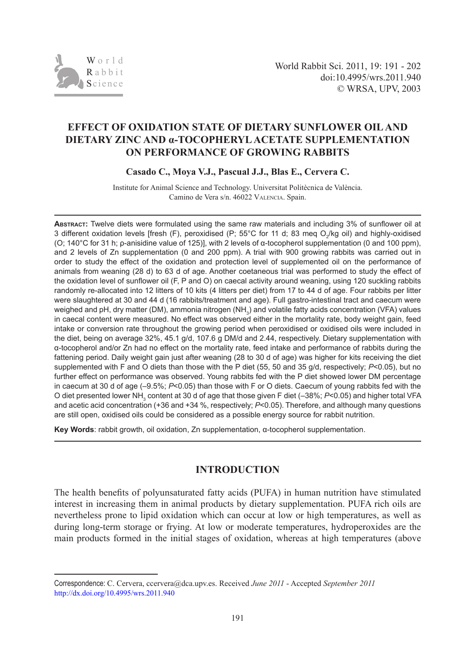

# **EFFECT OF OXIDATION STATE OF DIETARY SUNFLOWER OIL AND DIETARY ZINC AND α-TOCOPHERYL ACETATE SUPPLEMENTATION ON PERFORMANCE OF GROWING RABBITS**

**Casado C., Moya V.J., Pascual J.J., Blas E., Cervera C.** 

Institute for Animal Science and Technology. Universitat Politècnica de València. Camino de Vera s/n. 46022 Valencia. Spain.

**Abstract:** Twelve diets were formulated using the same raw materials and including 3% of sunflower oil at 3 different oxidation levels [fresh (F), peroxidised (P; 55°C for 11 d; 83 meq O<sub>2</sub>/kg oil) and highly-oxidised (O; 140°C for 31 h; ρ-anisidine value of 125)], with 2 levels of α-tocopherol supplementation (0 and 100 ppm), and 2 levels of Zn supplementation (0 and 200 ppm). A trial with 900 growing rabbits was carried out in order to study the effect of the oxidation and protection level of supplemented oil on the performance of animals from weaning (28 d) to 63 d of age. Another coetaneous trial was performed to study the effect of the oxidation level of sunflower oil (F, P and O) on caecal activity around weaning, using 120 suckling rabbits randomly re-allocated into 12 litters of 10 kits (4 litters per diet) from 17 to 44 d of age. Four rabbits per litter were slaughtered at 30 and 44 d (16 rabbits/treatment and age). Full gastro-intestinal tract and caecum were weighed and pH, dry matter (DM), ammonia nitrogen (NH $_{\rm_3}$ ) and volatile fatty acids concentration (VFA) values in caecal content were measured. No effect was observed either in the mortality rate, body weight gain, feed intake or conversion rate throughout the growing period when peroxidised or oxidised oils were included in the diet, being on average 32%, 45.1 g/d, 107.6 g DM/d and 2.44, respectively. Dietary supplementation with α-tocopherol and/or Zn had no effect on the mortality rate, feed intake and performance of rabbits during the fattening period. Daily weight gain just after weaning (28 to 30 d of age) was higher for kits receiving the diet supplemented with F and O diets than those with the P diet (55, 50 and 35 g/d, respectively; *P*<0.05), but no further effect on performance was observed. Young rabbits fed with the P diet showed lower DM percentage in caecum at 30 d of age (–9.5%; *P*<0.05) than those with F or O diets. Caecum of young rabbits fed with the O diet presented lower NH<sub>3</sub> content at 30 d of age that those given F diet (–38%; *P*<0.05) and higher total VFA and acetic acid concentration (+36 and +34 %, respectively; *P*<0.05). Therefore, and although many questions are still open, oxidised oils could be considered as a possible energy source for rabbit nutrition.

**Key Words**: rabbit growth, oil oxidation, Zn supplementation, α-tocopherol supplementation.

## **INTRODUCTION**

The health benefits of polyunsaturated fatty acids (PUFA) in human nutrition have stimulated interest in increasing them in animal products by dietary supplementation. PUFA rich oils are nevertheless prone to lipid oxidation which can occur at low or high temperatures, as well as during long-term storage or frying. At low or moderate temperatures, hydroperoxides are the main products formed in the initial stages of oxidation, whereas at high temperatures (above

Correspondence: C. Cervera, [ccervera@dca.upv.es](mailto:ccervera@dca.upv.es). Received *June 2011* - Accepted *September 2011* http://dx.doi.org/10.4995/wrs.2011.940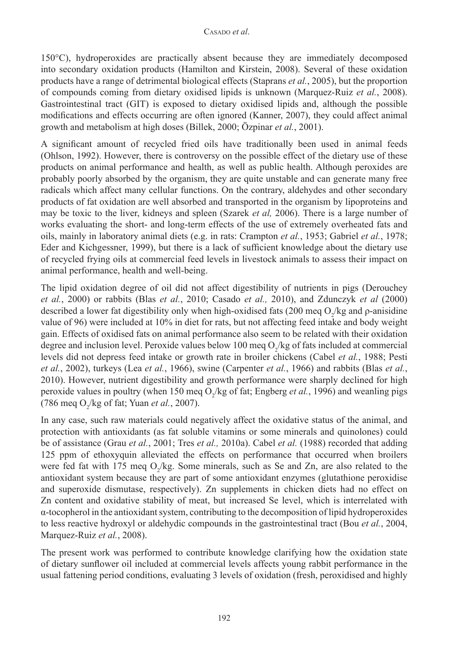150°C), hydroperoxides are practically absent because they are immediately decomposed into secondary oxidation products (Hamilton and Kirstein, 2008). Several of these oxidation products have a range of detrimental biological effects (Staprans *et al.*, 2005), but the proportion of compounds coming from dietary oxidised lipids is unknown (Marquez-Ruiz *et al.*, 2008). Gastrointestinal tract (GIT) is exposed to dietary oxidised lipids and, although the possible modifications and effects occurring are often ignored (Kanner, 2007), they could affect animal growth and metabolism at high doses (Billek, 2000; Özpinar *et al.*, 2001).

A significant amount of recycled fried oils have traditionally been used in animal feeds (Ohlson, 1992). However, there is controversy on the possible effect of the dietary use of these products on animal performance and health, as well as public health. Although peroxides are probably poorly absorbed by the organism, they are quite unstable and can generate many free radicals which affect many cellular functions. On the contrary, aldehydes and other secondary products of fat oxidation are well absorbed and transported in the organism by lipoproteins and may be toxic to the liver, kidneys and spleen (Szarek *et al,* 2006). There is a large number of works evaluating the short- and long-term effects of the use of extremely overheated fats and oils, mainly in laboratory animal diets (e.g. in rats: Crampton *et al.*, 1953; Gabriel *et al.*, 1978; Eder and Kichgessner, 1999), but there is a lack of sufficient knowledge about the dietary use of recycled frying oils at commercial feed levels in livestock animals to assess their impact on animal performance, health and well-being.

The lipid oxidation degree of oil did not affect digestibility of nutrients in pigs (Derouchey *et al.*, 2000) or rabbits (Blas *et al.*, 2010; Casado *et al.,* 2010), and Zdunczyk *et al* (2000) described a lower fat digestibility only when high-oxidised fats (200 meq  $O_2$ /kg and  $\rho$ -anisidine value of 96) were included at 10% in diet for rats, but not affecting feed intake and body weight gain. Effects of oxidised fats on animal performance also seem to be related with their oxidation degree and inclusion level. Peroxide values below 100 meq  $O_2$ /kg of fats included at commercial levels did not depress feed intake or growth rate in broiler chickens (Cabel *et al.*, 1988; Pesti *et al.*, 2002), turkeys (Lea *et al.*, 1966), swine (Carpenter *et al.*, 1966) and rabbits (Blas *et al.*, 2010). However, nutrient digestibility and growth performance were sharply declined for high peroxide values in poultry (when 150 meq  $O_2$ /kg of fat; Engberg *et al.*, 1996) and weanling pigs  $(786 \text{ meq O}_2/\text{kg of fat}; Yuan *et al.*, 2007).$ 

In any case, such raw materials could negatively affect the oxidative status of the animal, and protection with antioxidants (as fat soluble vitamins or some minerals and quinolones) could be of assistance (Grau *et al.*, 2001; Tres *et al.,* 2010a). Cabel *et al.* (1988) recorded that adding 125 ppm of ethoxyquin alleviated the effects on performance that occurred when broilers were fed fat with 175 meq  $O_2$ /kg. Some minerals, such as Se and Zn, are also related to the antioxidant system because they are part of some antioxidant enzymes (glutathione peroxidise and superoxide dismutase, respectively). Zn supplements in chicken diets had no effect on Zn content and oxidative stability of meat, but increased Se level, which is interrelated with α-tocopherol in the antioxidant system, contributing to the decomposition of lipid hydroperoxides to less reactive hydroxyl or aldehydic compounds in the gastrointestinal tract (Bou *et al.*, 2004, Marquez-Ruiz *et al.*, 2008).

The present work was performed to contribute knowledge clarifying how the oxidation state of dietary sunflower oil included at commercial levels affects young rabbit performance in the usual fattening period conditions, evaluating 3 levels of oxidation (fresh, peroxidised and highly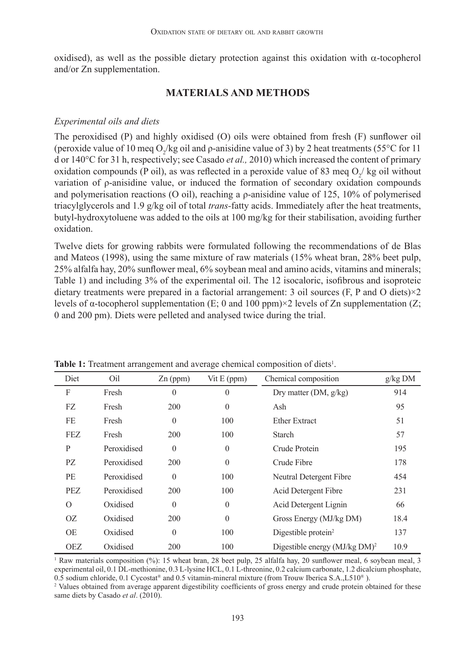oxidised), as well as the possible dietary protection against this oxidation with  $\alpha$ -tocopherol and/or Zn supplementation.

### **MATERIALS AND METHODS**

#### *Experimental oils and diets*

The peroxidised (P) and highly oxidised (O) oils were obtained from fresh (F) sunflower oil (peroxide value of 10 meq O<sub>2</sub>/kg oil and  $\rho$ -anisidine value of 3) by 2 heat treatments (55°C for 11 d or 140°C for 31 h, respectively; see Casado *et al.,* 2010) which increased the content of primary oxidation compounds (P oil), as was reflected in a peroxide value of 83 meq  $O_2$ / kg oil without variation of ρ-anisidine value, or induced the formation of secondary oxidation compounds and polymerisation reactions (O oil), reaching a ρ-anisidine value of 125, 10% of polymerised triacylglycerols and 1.9 g/kg oil of total *trans-*fatty acids. Immediately after the heat treatments, butyl-hydroxytoluene was added to the oils at 100 mg/kg for their stabilisation, avoiding further oxidation.

Twelve diets for growing rabbits were formulated following the recommendations of de Blas and Mateos (1998), using the same mixture of raw materials (15% wheat bran, 28% beet pulp, 25% alfalfa hay, 20% sunflower meal, 6% soybean meal and amino acids, vitamins and minerals; Table 1) and including 3% of the experimental oil. The 12 isocaloric, isofibrous and isoproteic dietary treatments were prepared in a factorial arrangement: 3 oil sources (F, P and O diets) $\times$ 2 levels of  $\alpha$ -tocopherol supplementation (E; 0 and 100 ppm) $\times$ 2 levels of Zn supplementation (Z; 0 and 200 pm). Diets were pelleted and analysed twice during the trial.

| Diet       | Oil         | $Zn$ (ppm)   | Vit $E$ (ppm) | Chemical composition                      | g/kg DM |
|------------|-------------|--------------|---------------|-------------------------------------------|---------|
| F          | Fresh       | $\theta$     | $\theta$      | Dry matter $(DM, g/kg)$                   | 914     |
| FZ         | Fresh       | 200          | $\theta$      | Ash                                       | 95      |
| FE         | Fresh       | $\theta$     | 100           | <b>Ether Extract</b>                      | 51      |
| FEZ        | Fresh       | 200          | 100           | Starch                                    | 57      |
| P          | Peroxidised | $\mathbf{0}$ | $\theta$      | Crude Protein                             | 195     |
| PZ.        | Peroxidised | 200          | $\theta$      | Crude Fibre                               | 178     |
| PE         | Peroxidised | $\theta$     | 100           | Neutral Detergent Fibre                   | 454     |
| PEZ.       | Peroxidised | 200          | 100           | Acid Detergent Fibre                      | 231     |
| $\Omega$   | Oxidised    | $\theta$     | $\mathbf{0}$  | Acid Detergent Lignin                     | 66      |
| 0Z         | Oxidised    | 200          | $\theta$      | Gross Energy (MJ/kg DM)                   | 18.4    |
| OE         | Oxidised    | $\theta$     | 100           | Digestible protein $2$                    | 137     |
| <b>OEZ</b> | Oxidised    | 200          | 100           | Digestible energy (MJ/kg DM) <sup>2</sup> | 10.9    |

Table 1: Treatment arrangement and average chemical composition of diets<sup>1</sup>.

<sup>1</sup> Raw materials composition (%): 15 wheat bran, 28 beet pulp, 25 alfalfa hay, 20 sunflower meal, 6 soybean meal, 3 experimental oil, 0.1 DL-methionine, 0.3 L-lysine HCL, 0.1 L-threonine, 0.2 calcium carbonate, 1.2 dicalcium phosphate,  $0.5$  sodium chloride, 0.1 Cycostat® and 0.5 vitamin-mineral mixture (from Trouw Iberica S.A., L510<sup>®</sup>).

<sup>2</sup> Values obtained from average apparent digestibility coefficients of gross energy and crude protein obtained for these same diets by Casado *et al*. (2010).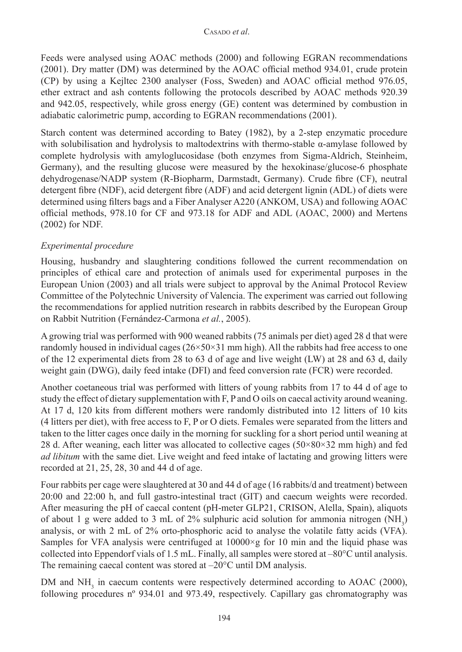Feeds were analysed using AOAC methods (2000) and following EGRAN recommendations (2001). Dry matter (DM) was determined by the AOAC official method 934.01, crude protein (CP) by using a Kejltec 2300 analyser (Foss, Sweden) and AOAC official method 976.05, ether extract and ash contents following the protocols described by AOAC methods 920.39 and 942.05, respectively, while gross energy (GE) content was determined by combustion in adiabatic calorimetric pump, according to EGRAN recommendations (2001).

Starch content was determined according to Batey (1982), by a 2-step enzymatic procedure with solubilisation and hydrolysis to maltodextrins with thermo-stable  $\alpha$ -amylase followed by complete hydrolysis with amyloglucosidase (both enzymes from Sigma-Aldrich, Steinheim, Germany), and the resulting glucose were measured by the hexokinase/glucose-6 phosphate dehydrogenase/NADP system (R-Biopharm, Darmstadt, Germany). Crude fibre (CF), neutral detergent fibre (NDF), acid detergent fibre (ADF) and acid detergent lignin (ADL) of diets were determined using filters bags and a Fiber Analyser A220 (ANKOM, USA) and following AOAC official methods, 978.10 for CF and 973.18 for ADF and ADL (AOAC, 2000) and Mertens (2002) for NDF.

## *Experimental procedure*

Housing, husbandry and slaughtering conditions followed the current recommendation on principles of ethical care and protection of animals used for experimental purposes in the European Union (2003) and all trials were subject to approval by the Animal Protocol Review Committee of the Polytechnic University of Valencia. The experiment was carried out following the recommendations for applied nutrition research in rabbits described by the European Group on Rabbit Nutrition (Fernández-Carmona *et al.*, 2005).

A growing trial was performed with 900 weaned rabbits (75 animals per diet) aged 28 d that were randomly housed in individual cages  $(26\times50\times31 \text{ mm high})$ . All the rabbits had free access to one of the 12 experimental diets from 28 to 63 d of age and live weight (LW) at 28 and 63 d, daily weight gain (DWG), daily feed intake (DFI) and feed conversion rate (FCR) were recorded.

Another coetaneous trial was performed with litters of young rabbits from 17 to 44 d of age to study the effect of dietary supplementation with F, P and O oils on caecal activity around weaning. At 17 d, 120 kits from different mothers were randomly distributed into 12 litters of 10 kits (4 litters per diet), with free access to F, P or O diets. Females were separated from the litters and taken to the litter cages once daily in the morning for suckling for a short period until weaning at 28 d. After weaning, each litter was allocated to collective cages (50×80×32 mm high) and fed *ad libitum* with the same diet. Live weight and feed intake of lactating and growing litters were recorded at 21, 25, 28, 30 and 44 d of age.

Four rabbits per cage were slaughtered at 30 and 44 d of age (16 rabbits/d and treatment) between 20:00 and 22:00 h, and full gastro-intestinal tract (GIT) and caecum weights were recorded. After measuring the pH of caecal content (pH-meter GLP21, CRISON, Alella, Spain), aliquots of about 1 g were added to 3 mL of 2% sulphuric acid solution for ammonia nitrogen  $(NH_3)$ analysis, or with 2 mL of 2% orto-phosphoric acid to analyse the volatile fatty acids (VFA). Samples for VFA analysis were centrifuged at  $10000 \times g$  for 10 min and the liquid phase was collected into Eppendorf vials of 1.5 mL. Finally, all samples were stored at –80°C until analysis. The remaining caecal content was stored at –20°C until DM analysis.

DM and  $NH<sub>3</sub>$  in caecum contents were respectively determined according to AOAC (2000), following procedures nº 934.01 and 973.49, respectively. Capillary gas chromatography was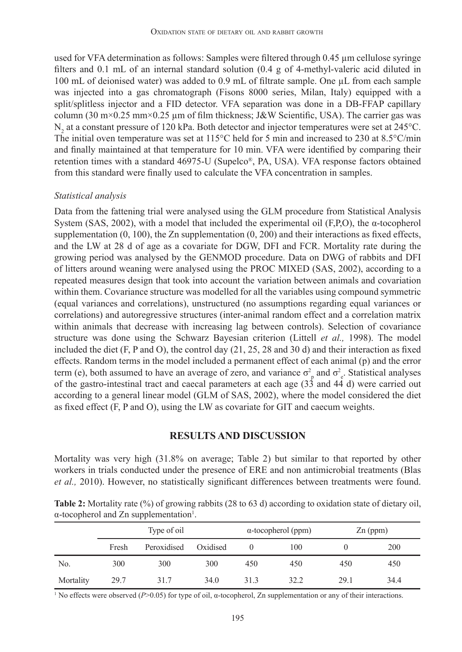used for VFA determination as follows: Samples were filtered through 0.45 µm cellulose syringe filters and 0.1 mL of an internal standard solution (0.4 g of 4-methyl-valeric acid diluted in 100 mL of deionised water) was added to 0.9 mL of filtrate sample. One µL from each sample was injected into a gas chromatograph (Fisons 8000 series, Milan, Italy) equipped with a split/splitless injector and a FID detector. VFA separation was done in a DB-FFAP capillary column (30 m×0.25 mm×0.25 µm of film thickness; J&W Scientific, USA). The carrier gas was  $N_2$  at a constant pressure of 120 kPa. Both detector and injector temperatures were set at 245 °C. The initial oven temperature was set at 115°C held for 5 min and increased to 230 at 8.5°C/min and finally maintained at that temperature for 10 min. VFA were identified by comparing their retention times with a standard 46975-U (Supelco®, PA, USA). VFA response factors obtained from this standard were finally used to calculate the VFA concentration in samples.

#### *Statistical analysis*

Data from the fattening trial were analysed using the GLM procedure from Statistical Analysis System (SAS, 2002), with a model that included the experimental oil (F, P, O), the α-tocopherol supplementation  $(0, 100)$ , the Zn supplementation  $(0, 200)$  and their interactions as fixed effects, and the LW at 28 d of age as a covariate for DGW, DFI and FCR. Mortality rate during the growing period was analysed by the GENMOD procedure. Data on DWG of rabbits and DFI of litters around weaning were analysed using the PROC MIXED (SAS, 2002), according to a repeated measures design that took into account the variation between animals and covariation within them. Covariance structure was modelled for all the variables using compound symmetric (equal variances and correlations), unstructured (no assumptions regarding equal variances or correlations) and autoregressive structures (inter-animal random effect and a correlation matrix within animals that decrease with increasing lag between controls). Selection of covariance structure was done using the Schwarz Bayesian criterion (Littell *et al.,* 1998). The model included the diet (F, P and O), the control day (21, 25, 28 and 30 d) and their interaction as fixed effects. Random terms in the model included a permanent effect of each animal (p) and the error term (e), both assumed to have an average of zero, and variance  $\sigma_p^2$  and  $\sigma_e^2$ . Statistical analyses of the gastro-intestinal tract and caecal parameters at each age  $(3\dot{3} \text{ and } 44 \text{ d})$  were carried out according to a general linear model (GLM of SAS, 2002), where the model considered the diet as fixed effect (F, P and O), using the LW as covariate for GIT and caecum weights.

#### **RESULTS AND DISCUSSION**

Mortality was very high (31.8% on average; Table 2) but similar to that reported by other workers in trials conducted under the presence of ERE and non antimicrobial treatments (Blas *et al.,* 2010). However, no statistically significant differences between treatments were found.

|                                                            | <b>Table 2:</b> Mortality rate $(\%)$ of growing rabbits (28 to 63 d) according to oxidation state of dietary oil, |
|------------------------------------------------------------|--------------------------------------------------------------------------------------------------------------------|
| $\alpha$ -tocopherol and Zn supplementation <sup>1</sup> . |                                                                                                                    |

|           | Type of oil |             |          |      | $\alpha$ -tocopherol (ppm) | $Zn$ (ppm) |      |
|-----------|-------------|-------------|----------|------|----------------------------|------------|------|
|           | Fresh       | Peroxidised | Oxidised |      | 100                        |            | 200  |
| No.       | 300         | 300         | 300      | 450  | 450                        | 450        | 450  |
| Mortality | 29.7        | 31.7        | 34.0     | 31.3 | 32.2                       | 29.1       | 34.4 |

<sup>1</sup> No effects were observed (*P*>0.05) for type of oil, α-tocopherol, Zn supplementation or any of their interactions.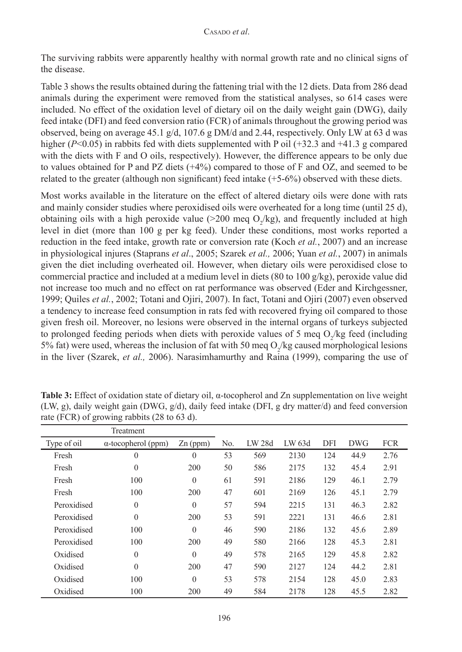The surviving rabbits were apparently healthy with normal growth rate and no clinical signs of the disease.

Table 3 shows the results obtained during the fattening trial with the 12 diets. Data from 286 dead animals during the experiment were removed from the statistical analyses, so 614 cases were included. No effect of the oxidation level of dietary oil on the daily weight gain (DWG), daily feed intake (DFI) and feed conversion ratio (FCR) of animals throughout the growing period was observed, being on average 45.1 g/d, 107.6 g DM/d and 2.44, respectively. Only LW at 63 d was higher ( $P<0.05$ ) in rabbits fed with diets supplemented with P oil (+32.3 and +41.3 g compared with the diets with F and O oils, respectively). However, the difference appears to be only due to values obtained for P and PZ diets (+4%) compared to those of F and OZ, and seemed to be related to the greater (although non significant) feed intake (+5-6%) observed with these diets.

Most works available in the literature on the effect of altered dietary oils were done with rats and mainly consider studies where peroxidised oils were overheated for a long time (until 25 d), obtaining oils with a high peroxide value ( $>$ 200 meq O<sub>2</sub>/kg), and frequently included at high level in diet (more than 100 g per kg feed). Under these conditions, most works reported a reduction in the feed intake, growth rate or conversion rate (Koch *et al.*, 2007) and an increase in physiological injures (Staprans *et al*., 2005; Szarek *et al.,* 2006; Yuan *et al.*, 2007) in animals given the diet including overheated oil. However, when dietary oils were peroxidised close to commercial practice and included at a medium level in diets (80 to 100 g/kg), peroxide value did not increase too much and no effect on rat performance was observed (Eder and Kirchgessner, 1999; Quiles *et al.*, 2002; Totani and Ojiri, 2007). In fact, Totani and Ojiri (2007) even observed a tendency to increase feed consumption in rats fed with recovered frying oil compared to those given fresh oil. Moreover, no lesions were observed in the internal organs of turkeys subjected to prolonged feeding periods when diets with peroxide values of 5 meq  $O_2$ /kg feed (including 5% fat) were used, whereas the inclusion of fat with 50 meq  $O_2$ /kg caused morphological lesions in the liver (Szarek, *et al.,* 2006). Narasimhamurthy and Raina (1999), comparing the use of

|                                                         | Treatment    |                |        |        |      |            |            |      |
|---------------------------------------------------------|--------------|----------------|--------|--------|------|------------|------------|------|
| Type of oil<br>$\alpha$ -tocopherol (ppm)<br>$Zn$ (ppm) |              | N <sub>0</sub> | LW 28d | LW 63d | DFI  | <b>DWG</b> | <b>FCR</b> |      |
| Fresh                                                   | $\theta$     | $\theta$       | 53     | 569    | 2130 | 124        | 44.9       | 2.76 |
| Fresh                                                   | $\mathbf{0}$ | 200            | 50     | 586    | 2175 | 132        | 45.4       | 2.91 |
| Fresh                                                   | 100          | $\mathbf{0}$   | 61     | 591    | 2186 | 129        | 46.1       | 2.79 |
| Fresh                                                   | 100          | 200            | 47     | 601    | 2169 | 126        | 45.1       | 2.79 |
| Peroxidised                                             | $\Omega$     | $\theta$       | 57     | 594    | 2215 | 131        | 46.3       | 2.82 |
| Peroxidised                                             | $\theta$     | 200            | 53     | 591    | 2221 | 131        | 46.6       | 2.81 |
| Peroxidised                                             | 100          | $\theta$       | 46     | 590    | 2186 | 132        | 45.6       | 2.89 |
| Peroxidised                                             | 100          | 200            | 49     | 580    | 2166 | 128        | 45.3       | 2.81 |
| Oxidised                                                | $\theta$     | $\theta$       | 49     | 578    | 2165 | 129        | 45.8       | 2.82 |
| Oxidised                                                | $\theta$     | 200            | 47     | 590    | 2127 | 124        | 44.2       | 2.81 |
| Oxidised                                                | 100          | $\mathbf{0}$   | 53     | 578    | 2154 | 128        | 45.0       | 2.83 |
| Oxidised                                                | 100          | 200            | 49     | 584    | 2178 | 128        | 45.5       | 2.82 |

**Table 3:** Effect of oxidation state of dietary oil, α-tocopherol and Zn supplementation on live weight (LW, g), daily weight gain (DWG, g/d), daily feed intake (DFI, g dry matter/d) and feed conversion rate (FCR) of growing rabbits (28 to 63 d).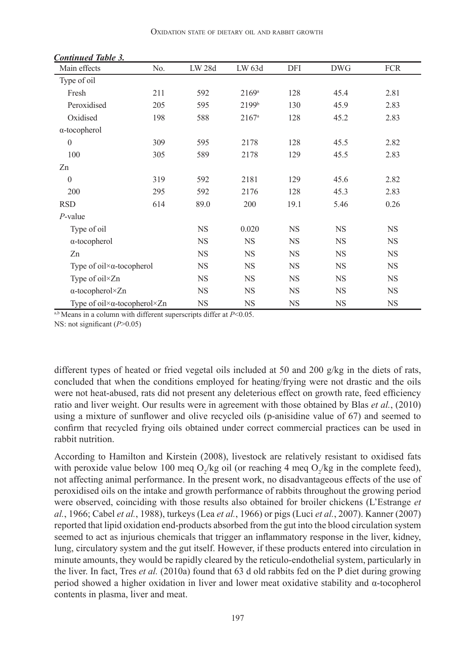| Main effects                                       | No.       | LW 28d    | LW 63d         | DFI       | <b>DWG</b> | <b>FCR</b> |
|----------------------------------------------------|-----------|-----------|----------------|-----------|------------|------------|
| Type of oil                                        |           |           |                |           |            |            |
| Fresh                                              | 211       | 592       | $2169^{\rm a}$ | 128       | 45.4       | 2.81       |
| Peroxidised                                        | 205       | 595       | 2199b          | 130       | 45.9       | 2.83       |
| Oxidised                                           | 198       | 588       | 2167a          | 128       | 45.2       | 2.83       |
| $\alpha$ -tocopherol                               |           |           |                |           |            |            |
| $\mathbf{0}$                                       | 309       | 595       | 2178           | 128       | 45.5       | 2.82       |
| 100                                                | 305       | 589       | 2178           | 129       | 45.5       | 2.83       |
| Zn                                                 |           |           |                |           |            |            |
| $\mathbf{0}$                                       | 319       | 592       | 2181           | 129       | 45.6       | 2.82       |
| 200                                                | 295       | 592       | 2176           | 128       | 45.3       | 2.83       |
| <b>RSD</b>                                         | 614       | 89.0      | 200            | 19.1      | 5.46       | 0.26       |
| $P$ -value                                         |           |           |                |           |            |            |
| Type of oil                                        |           | <b>NS</b> | 0.020          | <b>NS</b> | <b>NS</b>  | <b>NS</b>  |
| $\alpha$ -tocopherol                               |           | <b>NS</b> | <b>NS</b>      | <b>NS</b> | <b>NS</b>  | <b>NS</b>  |
| Zn                                                 |           | <b>NS</b> | <b>NS</b>      | <b>NS</b> | <b>NS</b>  | <b>NS</b>  |
| Type of oil $\times \alpha$ -tocopherol            | <b>NS</b> | <b>NS</b> | <b>NS</b>      | <b>NS</b> | <b>NS</b>  |            |
| Type of oil×Zn                                     | <b>NS</b> | <b>NS</b> | <b>NS</b>      | <b>NS</b> | <b>NS</b>  |            |
| $\alpha$ -tocopherol×Zn                            | <b>NS</b> | <b>NS</b> | <b>NS</b>      | <b>NS</b> | <b>NS</b>  |            |
| Type of oil $\times\alpha$ -tocopherol $\times Zn$ | <b>NS</b> | <b>NS</b> | <b>NS</b>      | <b>NS</b> | <b>NS</b>  |            |

*Continued Table 3.*

 $a$ ,b Means in a column with different superscripts differ at  $P<0.05$ . NS: not significant (*P*>0.05)

different types of heated or fried vegetal oils included at 50 and 200 g/kg in the diets of rats, concluded that when the conditions employed for heating/frying were not drastic and the oils were not heat-abused, rats did not present any deleterious effect on growth rate, feed efficiency ratio and liver weight. Our results were in agreement with those obtained by Blas *et al.*, (2010) using a mixture of sunflower and olive recycled oils (p-anisidine value of 67) and seemed to confirm that recycled frying oils obtained under correct commercial practices can be used in rabbit nutrition.

According to Hamilton and Kirstein (2008), livestock are relatively resistant to oxidised fats with peroxide value below 100 meq O<sub>2</sub>/kg oil (or reaching 4 meq O<sub>2</sub>/kg in the complete feed), not affecting animal performance. In the present work, no disadvantageous effects of the use of peroxidised oils on the intake and growth performance of rabbits throughout the growing period were observed, coinciding with those results also obtained for broiler chickens (L'Estrange *et al.*, 1966; Cabel *et al.*, 1988), turkeys (Lea *et al.*, 1966) or pigs (Luci *et al.*, 2007). Kanner (2007) reported that lipid oxidation end-products absorbed from the gut into the blood circulation system seemed to act as injurious chemicals that trigger an inflammatory response in the liver, kidney, lung, circulatory system and the gut itself. However, if these products entered into circulation in minute amounts, they would be rapidly cleared by the reticulo-endothelial system, particularly in the liver. In fact, Tres *et al.* (2010a) found that 63 d old rabbits fed on the P diet during growing period showed a higher oxidation in liver and lower meat oxidative stability and α-tocopherol contents in plasma, liver and meat.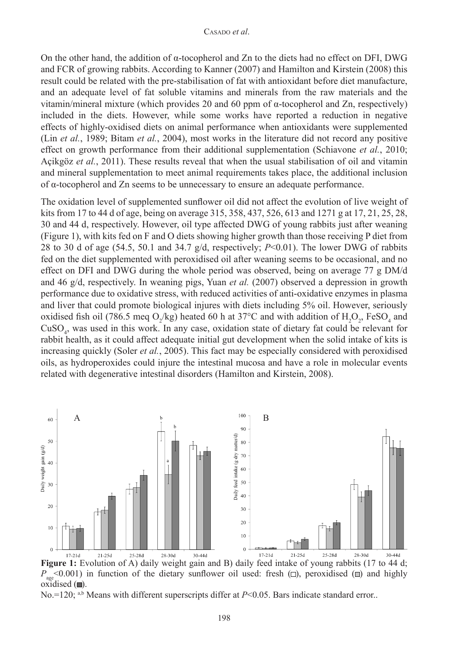On the other hand, the addition of  $\alpha$ -tocopherol and Zn to the diets had no effect on DFI, DWG and FCR of growing rabbits. According to Kanner (2007) and Hamilton and Kirstein (2008) this result could be related with the pre-stabilisation of fat with antioxidant before diet manufacture, and an adequate level of fat soluble vitamins and minerals from the raw materials and the vitamin/mineral mixture (which provides 20 and 60 ppm of  $\alpha$ -tocopherol and Zn, respectively) included in the diets. However, while some works have reported a reduction in negative effects of highly-oxidised diets on animal performance when antioxidants were supplemented (Lin *et al.*, 1989; Bitam *et al.*, 2004), most works in the literature did not record any positive effect on growth performance from their additional supplementation (Schiavone *et al.*, 2010; Açikgöz *et al.*, 2011). These results reveal that when the usual stabilisation of oil and vitamin and mineral supplementation to meet animal requirements takes place, the additional inclusion of α-tocopherol and Zn seems to be unnecessary to ensure an adequate performance.

The oxidation level of supplemented sunflower oil did not affect the evolution of live weight of kits from 17 to 44 d of age, being on average 315, 358, 437, 526, 613 and 1271 g at 17, 21, 25, 28, 30 and 44 d, respectively. However, oil type affected DWG of young rabbits just after weaning (Figure 1), with kits fed on F and O diets showing higher growth than those receiving P diet from 28 to 30 d of age (54.5, 50.1 and 34.7 g/d, respectively; *P*<0.01). The lower DWG of rabbits fed on the diet supplemented with peroxidised oil after weaning seems to be occasional, and no effect on DFI and DWG during the whole period was observed, being on average 77 g DM/d and 46 g/d, respectively. In weaning pigs, Yuan *et al.* (2007) observed a depression in growth performance due to oxidative stress, with reduced activities of anti-oxidative enzymes in plasma and liver that could promote biological injures with diets including 5% oil. However, seriously oxidised fish oil (786.5 meq O<sub>2</sub>/kg) heated 60 h at 37°C and with addition of  $H_2O_2$ , FeSO<sub>4</sub> and  $CuSO<sub>4</sub>$ , was used in this work. In any case, oxidation state of dietary fat could be relevant for rabbit health, as it could affect adequate initial gut development when the solid intake of kits is increasing quickly (Soler *et al.*, 2005). This fact may be especially considered with peroxidised oils, as hydroperoxides could injure the intestinal mucosa and have a role in molecular events related with degenerative intestinal disorders (Hamilton and Kirstein, 2008).



**Figure 1:** Evolution of A) daily weight gain and B) daily feed intake of young rabbits (17 to 44 d;  $P_{\text{age}}$  <0.001) in function of the dietary sunflower oil used: fresh ( $\square$ ), peroxidised ( $\square$ ) and highly oxidised  $(\blacksquare)$ .

No.=120; a,b Means with different superscripts differ at *P*<0.05. Bars indicate standard error..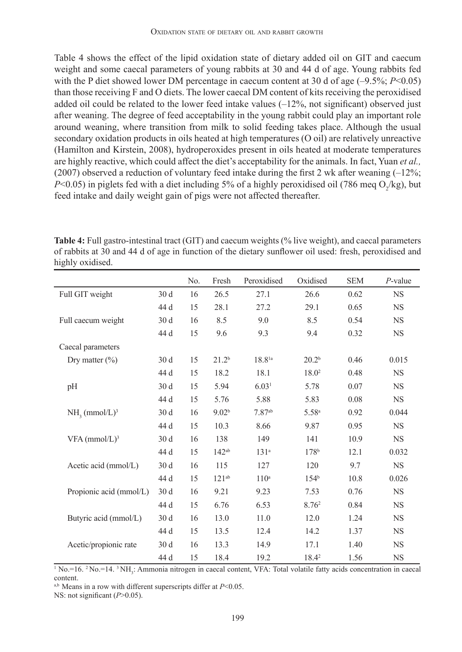Table 4 shows the effect of the lipid oxidation state of dietary added oil on GIT and caecum weight and some caecal parameters of young rabbits at 30 and 44 d of age. Young rabbits fed with the P diet showed lower DM percentage in caecum content at 30 d of age (-9.5%; *P*<0.05) than those receiving F and O diets. The lower caecal DM content of kits receiving the peroxidised added oil could be related to the lower feed intake values  $(-12\%$ , not significant) observed just after weaning. The degree of feed acceptability in the young rabbit could play an important role around weaning, where transition from milk to solid feeding takes place. Although the usual secondary oxidation products in oils heated at high temperatures (O oil) are relatively unreactive (Hamilton and Kirstein, 2008), hydroperoxides present in oils heated at moderate temperatures are highly reactive, which could affect the diet's acceptability for the animals. In fact, Yuan *et al.,* (2007) observed a reduction of voluntary feed intake during the first 2 wk after weaning  $(-12\%)$ ; *P*<0.05) in piglets fed with a diet including 5% of a highly peroxidised oil (786 meq O<sub>2</sub>/kg), but feed intake and daily weight gain of pigs were not affected thereafter.

|                             |                 | N <sub>0</sub> | Fresh             | Peroxidised       | Oxidised          | <b>SEM</b> | $P$ -value |
|-----------------------------|-----------------|----------------|-------------------|-------------------|-------------------|------------|------------|
| Full GIT weight             | 30 <sub>d</sub> | 16             | 26.5              | 27.1              | 26.6              | 0.62       | <b>NS</b>  |
|                             | 44 d            | 15             | 28.1              | 27.2              | 29.1              | 0.65       | <b>NS</b>  |
| Full caecum weight          | 30 d            | 16             | 8.5               | 9.0               | 8.5               | 0.54       | <b>NS</b>  |
|                             | 44 d            | 15             | 9.6               | 9.3               | 9.4               | 0.32       | <b>NS</b>  |
| Caecal parameters           |                 |                |                   |                   |                   |            |            |
| Dry matter $(\% )$          | 30d             | 15             | 21.2 <sup>b</sup> | $18.8^{1a}$       | 20.2 <sup>b</sup> | 0.46       | 0.015      |
|                             | 44 d            | 15             | 18.2              | 18.1              | $18.0^2$          | 0.48       | <b>NS</b>  |
| pH                          | 30 d            | 15             | 5.94              | 6.03 <sup>1</sup> | 5.78              | 0.07       | <b>NS</b>  |
|                             | 44 d            | 15             | 5.76              | 5.88              | 5.83              | 0.08       | <b>NS</b>  |
| $NH3$ (mmol/L) <sup>3</sup> | 30d             | 16             | 9.02 <sup>b</sup> | $7.87^{ab}$       | 5.58 <sup>a</sup> | 0.92       | 0.044      |
|                             | 44 d            | 15             | 10.3              | 8.66              | 9.87              | 0.95       | <b>NS</b>  |
| $VFA$ (mmol/L) <sup>3</sup> | 30d             | 16             | 138               | 149               | 141               | 10.9       | <b>NS</b>  |
|                             | 44 d            | 15             | $142^{ab}$        | 131 <sup>a</sup>  | 178 <sup>b</sup>  | 12.1       | 0.032      |
| Acetic acid (mmol/L)        | 30d             | 16             | 115               | 127               | 120               | 9.7        | <b>NS</b>  |
|                             | 44 d            | 15             | $121^{ab}$        | 110 <sup>a</sup>  | 154 <sup>b</sup>  | 10.8       | 0.026      |
| Propionic acid (mmol/L)     | 30d             | 16             | 9.21              | 9.23              | 7.53              | 0.76       | <b>NS</b>  |
|                             | 44 d            | 15             | 6.76              | 6.53              | $8.76^2$          | 0.84       | <b>NS</b>  |
| Butyric acid (mmol/L)       | 30 d            | 16             | 13.0              | 11.0              | 12.0              | 1.24       | <b>NS</b>  |
|                             | 44 d            | 15             | 13.5              | 12.4              | 14.2              | 1.37       | <b>NS</b>  |
| Acetic/propionic rate       | 30 <sub>d</sub> | 16             | 13.3              | 14.9              | 17.1              | 1.40       | <b>NS</b>  |
|                             | 44 d            | 15             | 18.4              | 19.2              | 18.42             | 1.56       | <b>NS</b>  |

**Table 4:** Full gastro-intestinal tract (GIT) and caecum weights (% live weight), and caecal parameters of rabbits at 30 and 44 d of age in function of the dietary sunflower oil used: fresh, peroxidised and highly oxidised.

<sup>1</sup> No.=16. <sup>2</sup> No.=14. <sup>3</sup> NH<sub>3</sub>: Ammonia nitrogen in caecal content, VFA: Total volatile fatty acids concentration in caecal content.

a,b Means in a row with different superscripts differ at *P*<0.05.

NS: not significant (*P*>0.05).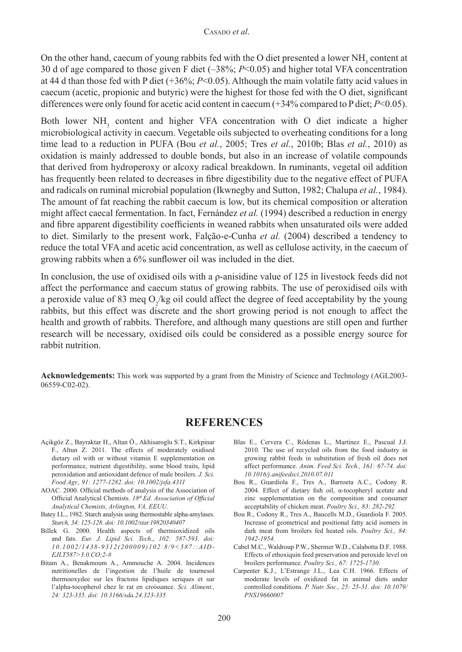On the other hand, caecum of young rabbits fed with the O diet presented a lower  $NH<sub>3</sub>$  content at 30 d of age compared to those given F diet (–38%; *P*<0.05) and higher total VFA concentration at 44 d than those fed with P diet (+36%; *P*<0.05). Although the main volatile fatty acid values in caecum (acetic, propionic and butyric) were the highest for those fed with the O diet, significant differences were only found for acetic acid content in caecum (+34% compared to P diet; *P*<0.05).

Both lower  $NH<sub>3</sub>$  content and higher VFA concentration with O diet indicate a higher microbiological activity in caecum. Vegetable oils subjected to overheating conditions for a long time lead to a reduction in PUFA (Bou *et al.*, 2005; Tres *et al.*, 2010b; Blas *et al.*, 2010) as oxidation is mainly addressed to double bonds, but also in an increase of volatile compounds that derived from hydroperoxy or alcoxy radical breakdown. In ruminants, vegetal oil addition has frequently been related to decreases in fibre digestibility due to the negative effect of PUFA and radicals on ruminal microbial population (Ikwnegby and Sutton, 1982; Chalupa *et al.*, 1984). The amount of fat reaching the rabbit caecum is low, but its chemical composition or alteration might affect caecal fermentation. In fact, Fernández *et al.* (1994) described a reduction in energy and fibre apparent digestibility coefficients in weaned rabbits when unsaturated oils were added to diet. Similarly to the present work, Falção-e-Cunha *et al.* (2004) described a tendency to reduce the total VFA and acetic acid concentration, as well as cellulose activity, in the caecum of growing rabbits when a 6% sunflower oil was included in the diet.

In conclusion, the use of oxidised oils with a ρ-anisidine value of 125 in livestock feeds did not affect the performance and caecum status of growing rabbits. The use of peroxidised oils with a peroxide value of 83 meq  $O_2$ /kg oil could affect the degree of feed acceptability by the young rabbits, but this effect was discrete and the short growing period is not enough to affect the health and growth of rabbits. Therefore, and although many questions are still open and further research will be necessary, oxidised oils could be considered as a possible energy source for rabbit nutrition.

**Acknowledgements:** This work was supported by a grant from the Ministry of Science and Technology (AGL2003- 06559-C02-02).

## **REFERENCES**

- Açikgöz Z., Bayraktar H., Altan Ö., Akhisaroglu S.T., Kirkpinar F., Altun Z. 2011. The effects of moderately oxidised dietary oil with or without vitamin E supplementation on performance, nutrient digestibility, some blood traits, lipid peroxidation and antioxidant defence of male broilers. *J. Sci. Food Agr., 91: 1277-1282. doi: [10.1002/jsfa.4311](http://dx.doi.org/10.1002/jsfa.4311)*
- AOAC. 2000. Official methods of analysis of the Association of Official Analytical Chemists. *18th Ed. Association of Official Analytical Chemists, Arlington, VA, EEUU.*
- Batey I.L., 1982. Starch analysis using thermostable alpha-amylases. *Starch, 34: 125-128. doi: [10.1002/star.19820340407](http://dx.doi.org/10.1002/star.19820340407)*
- Billek G. 2000. Health aspects of thermioxidized oils and fats. *Eur. J. Lipid Sci. Tech*., *102: 587-593. doi: 10.1002/1438-9312(200009)102:8/9<587::AID-EJLT587>3.0.CO;2-#*
- Bitam A., Benakmoum A., Ammouche A. 2004. Incidences nutritionelles de l'ingestion de l'huile de tournesol thermooxydee sur les fractons lipidiques seriques et sur l'alpha-tocopherol chez le rat en croissance. *Sci. Aliment., 24: 323-335. [doi: 10.3166/sda.24.323-335](http://dx.doi.org/10.3166/sda.24.323-335)*
- Blas E., Cervera C., Ródenas L., Martínez E., Pascual J.J. 2010. The use of recycled oils from the food industry in growing rabbit feeds in substitution of fresh oil does not affect performance. *Anim. Feed Sci. Tech., 161: 67-74. [doi:](http://dx.doi.org/10.1016/j.anifeedsci.2010.07.011) [10.1016/j.anifeedsci.2010.07.011](http://dx.doi.org/10.1016/j.anifeedsci.2010.07.011)*
- Bou R., Guardiola F., Tres A., Barroeta A.C., Codony R. 2004. Effect of dietary fish oil, α-tocopheryl acetate and zinc supplementation on the composition and consumer acceptability of chicken meat. *Poultry Sci., 83: 282-292.*
- Bou R., Codony R., Tres A., Baucells M.D., Guardiola F. 2005. Increase of geometrical and positional fatty acid isomers in dark meat from broilers fed heated oils. *Poultry Sci., 84: 1942-1954.*
- Cabel M.C., Waldroup P.W., Shermer W.D., Calabotta D.F. 1988. Effects of ethoxiquin feed preservation and peroxide level on broilers performance. *Poultry Sci., 67: 1725-1730.*
- Carpenter K.J., L'Estrange J.L., Lea C.H. 1966. Effects of moderate levels of oxidized fat in animal diets under controlled conditions. *P. Nutr. Soc., 25: 25-31. [doi: 10.1079/](http://dx.doi.org/10.1079/PNS19660007) [PNS19660007](http://dx.doi.org/10.1079/PNS19660007)*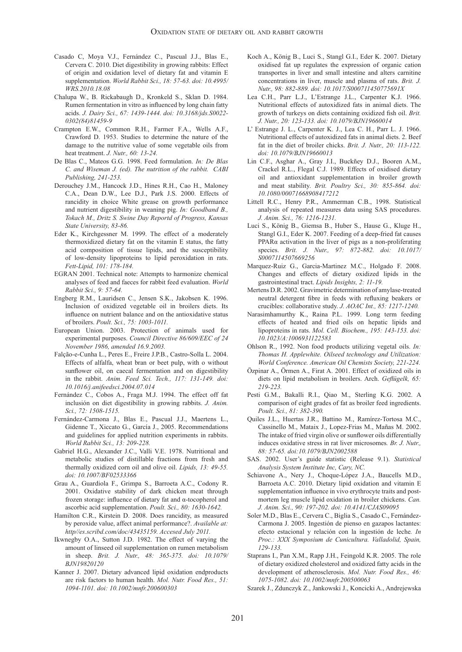- Casado C, Moya V.J., Fernández C., Pascual J.J., Blas E., Cervera C. 2010. Diet digestibility in growing rabbits: Effect of origin and oxidation level of dietary fat and vitamin E supplementation. *World Rabbit Sci., 18: 57-63. [doi: 10.4995/](http://dx.doi.org/10.4995/WRS.2010.18.08) [WRS.2010.18.08](http://dx.doi.org/10.4995/WRS.2010.18.08)*
- Chalupa W., B. Rickabaugh D., Kronkeld S., Sklan D. 1984. Rumen fermentation in vitro as influenced by long chain fatty acids. *J. Dairy Sci., 67: 1439-1444. [doi: 10.3168/jds.S0022-](http://dx.doi.org/10.3168/jds.S0022-0302%2884%2981459-9) [0302\(84\)81459-9](http://dx.doi.org/10.3168/jds.S0022-0302%2884%2981459-9)*
- Crampton E.W., Common R.H., Farmer F.A., Wells A.F., Crawford D. 1953. Studies to determine the nature of the damage to the nutritive value of some vegetable oils from heat treatment. *J. Nutr., 60: 13-24.*
- De Blas C., Mateos G.G. 1998. Feed formulation. *In: De Blas C. and Wiseman J. (ed). The nutrition of the rabbit. CABI Publishing, 241-253.*
- Derouchey J.M., Hancock J.D., Hines R.H., Cao H., Maloney C.A., Dean D.W., Lee D.J., Park J.S. 2000. Effects of rancidity in choice White grease on growth performance and nutrient digestibility in weaning pig. *In: Goodband B., Tokach M., Dritz S. Swine Day Reportd of Progress, Kansas State University, 83-86.*
- Eder K., Kirchgessner M. 1999. The effect of a moderately thermoxidized dietary fat on the vitamin E status, the fatty acid composition of tissue lipids, and the susceptibility of low-density lipoproteins to lipid peroxidation in rats. *Fett-Lipid, 101: 178-184.*
- EGRAN 2001. Technical note: Attempts to harmonize chemical analyses of feed and faeces for rabbit feed evaluation. *World Rabbit Sci., 9: 57-64.*
- Engberg R.M., Lauridsen C., Jensen S.K., Jakobsen K. 1996. Inclusion of oxidized vegetable oil in broilers diets. Its influence on nutrient balance and on the antioxidative status of broilers. *Poult. Sci., 75: 1003-1011.*
- European Union. 2003. Protection of animals used for experimental purposes. *Council Directive 86/609/EEC of 24 November 1986, amended 16.9.2003.*
- Falção-e-Cunha L., Peres E., Freire J.P.B., Castro-Solla L. 2004. Effects of alfalfa, wheat bran or beet pulp, with o without sunflower oil, on caecal fermentation and on digestibility in the rabbit. *Anim. Feed Sci. Tech., 117: 131-149. [doi:](http://dx.doi.org/10.1016/j.anifeedsci.2004.07.014) [10.1016/j.anifeedsci.2004.07.014](http://dx.doi.org/10.1016/j.anifeedsci.2004.07.014)*
- Fernández C., Cobos A., Fraga M.J. 1994. The effect off fat inclusión on diet digestibility in growing rabbits. *J. Anim. Sci., 72: 1508-1515.*
- Fernández-Carmona J., Blas E., Pascual J.J., Maertens L., Gidenne T., Xiccato G., García J., 2005. Recommendations and guidelines for applied nutrition experiments in rabbits. *World Rabbit Sci., 13: 209-228.*
- Gabriel H.G., Alexander J.C., Valli V.E. 1978. Nutritional and metabolic studies of distillable fractions from fresh and thermally oxidized corn oil and olive oil. *Lipids, 13: 49-55. doi: 10.1007/BF02533366*
- Grau A., Guardiola F., Grimpa S., Barroeta A.C., Codony R. 2001. Oxidative stability of dark chicken meat through frozen storage: influence of dietary fat and α-tocopherol and ascorbic acid supplementation. *Poult. Sci., 80: 1630-1642.*
- Hamilton C.R., Kirstein D. 2008. Does rancidity, as measured by peroxide value, affect animal performance?. *Available at: http//es.scribd.com/doc/43435159. Accesed July 2011.*
- Ikwnegby O.A., Sutton J.D. 1982. The effect of varying the amount of linseed oil supplementation on rumen metabolism in sheep. *Brit. J. Nutr., 48: 365-375. [doi: 10.1079/](http://dx.doi.org/10.1079/BJN19820120) [BJN19820120](http://dx.doi.org/10.1079/BJN19820120)*
- Kanner J. 2007. Dietary advanced lipid oxidation endproducts are risk factors to human health. *Mol. Nutr. Food Res., 51: 1094-1101. [doi: 10.1002/mnfr.200600303](http://dx.doi.org/10.1002/mnfr.200600303)*
- Koch A., König B., Luci S., Stangl G.I., Eder K. 2007. Dietary oxidised fat up regulates the expression of organic cation transportes in liver and small intestine and alters carnitine concentrations in liver, muscle and plasma of rats. *Brit. J. Nutr., 98: 882-889. [doi: 10.1017/S000711450775691X](http://dx.doi.org/10.1017/S000711450775691X)*
- Lea C.H., Parr L.J., L'Estrange J.L., Carpenter K.J. 1966. Nutritional effects of autoxidized fats in animal diets. The growth of turkeys on diets containing oxidized fish oil. *Brit. J. Nutr., 20: 123-133. [doi: 10.1079/BJN19660014](http://dx.doi.org/10.1079/BJN19660014)*
- L' Estrange J. L., Carpenter K. J., Lea C. H., Parr L. J. 1966. Nutritional effects of autoxidized fats in animal diets. 2. Beef fat in the diet of broiler chicks. *Brit. J. Nutr., 20: 113-122. [doi: 10.1079/BJN19660013](http://dx.doi.org/10.1079/BJN19660013)*
- Lin C.F., Asghar A., Gray J.I., Buckñey D.J., Booren A.M., Crackel R.L., Flegal C.J. 1989. Effects of oxidised dietary oil and antioxidant supplementation in broiler growth and meat stability. *Brit. Poultry Sci., 30: 855-864. [doi:](http://dx.doi.org/10.1080/00071668908417212) [10.1080/00071668908417212](http://dx.doi.org/10.1080/00071668908417212)*
- Littell R.C., Henry P.R., Ammerman C.B., 1998. Statistical analysis of repeated measures data using SAS procedures. *J. Anim. Sci., 76: 1216-1231.*
- Luci S., König B., Giemsa B., Huber S., Hause G., Kluge H., Stangl G.I., Eder K. 2007. Feeding of a deep-fried fat causes PPARα activation in the liver of pigs as a non-proliferating species. *Brit. J. Nutr., 97: 872-882. [doi: 10.1017/](http://dx.doi.org/10.1017/S0007114507669256) [S0007114507669256](http://dx.doi.org/10.1017/S0007114507669256)*
- Marquez-Ruiz G., Garcia-Martinez M.C., Holgado F. 2008. Changes and effects of dietary oxidized lipids in the gastrointestinal tract. *Lipids Insights, 2: 11-19.*
- Mertens D.R. 2002. Gravimetric determination of amylase-treated neutral detergent fibre in feeds with refluxing beakers or crucibles: collaborative study. *J. AOAC Int., 85: 1217-1240.*
- Narasimhamurthy K., Raina P.L. 1999. Long term feeding effects of heated and fried oils on hepatic lipids and lipoproteins in rats. *Mol. Cell. Biochem., 195: 143-153. [doi:](http://dx.doi.org/10.1023/A:1006931122583) [10.1023/A:1006931122583](http://dx.doi.org/10.1023/A:1006931122583)*
- Ohlson R., 1992. Non food products utilizing vegetal oils. *In: Thomas H. Applewhite. Oilseed technology and Utilization: World Conference. American Oil Chemists Society, 221-224.*
- Özpinar A., Örmen A., Firat A. 2001. Effect of oxidized oils in diets on lípid metabolism in broilers. Arch. *Geflügelk, 65: 219-223.*
- Pesti G.M., Bakalli R.I., Qiao M., Sterling K.G. 2002. A comparison of eight grades of fat as broiler feed ingredients. *Poult. Sci., 81: 382-390.*
- Quiles J.L., Huertas J.R., Battino M., Ramírez-Tortosa M.C., Cassinello M., Mataix J., Lopez-Frias M., Mañas M. 2002. The intake of fried virgin olive or sunflower oils differentially induces oxidative stress in rat liver microsomes*. Br. J. Nutr., 88: 57-65. doi[:10.1079/BJN2002588](http://dox.doi.org/10.1079/BJN2002588 )*
- SAS. 2002. User's guide statistic (Release 9.1). *Statistical Analysis System Institute Inc, Cary, NC.*
- Schiavone A., Nery J., Choque-López J.A., Baucells M.D., Barroeta A.C. 2010. Dietary lipid oxidation and vitamin E supplementation influence in vivo erythrocyte traits and postmortem leg muscle lipid oxidation in broiler chickens. *Can. J. Anim. Sci., 90: 197-202. [doi: 10.4141/CJAS09095](http://dox.doi.org/10.4141/CJAS09095)*
- Soler M.D., Blas E., Cervera C., Biglia S., Casado C., Fernández-Carmona J. 2005. Ingestión de pienso en gazapos lactantes: efecto estacional y relación con la ingestión de leche*. In Proc.: XXX Symposium de Cunicultura. Valladolid, Spain, 129-133.*
- Staprans I., Pan X.M., Rapp J.H., Feingold K.R. 2005. The role of dietary oxidized cholesterol and oxidized fatty acids in the development of atherosclerosis. *Mol. Nutr. Food Res., 46: 1075-1082. [doi: 10.1002/mnfr.200500063](http://dox.doi.org/10.1002/mnfr.200500063
)*
- Szarek J., Zdunczyk Z., Jankowski J., Koncicki A., Andrejewska